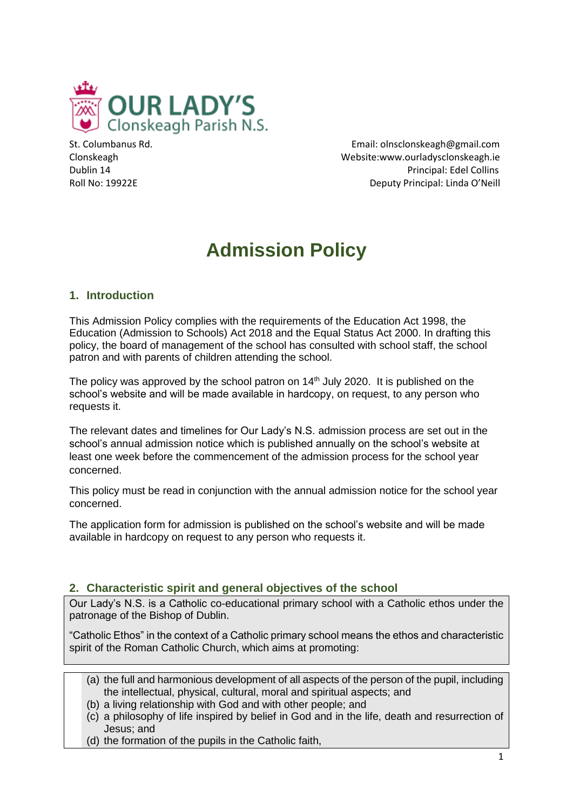

St. Columbanus Rd. Email: olnsclonskeagh@gmail.com Clonskeagh Website:www.ourladysclonskeagh.ie Dublin 14 Principal: Edel Collins Roll No: 19922E **Deputy Principal: Linda O'Neill** 

# **Admission Policy**

# **1. Introduction**

This Admission Policy complies with the requirements of the Education Act 1998, the Education (Admission to Schools) Act 2018 and the Equal Status Act 2000. In drafting this policy, the board of management of the school has consulted with school staff, the school patron and with parents of children attending the school.

The policy was approved by the school patron on  $14<sup>th</sup>$  July 2020. It is published on the school's website and will be made available in hardcopy, on request, to any person who requests it.

The relevant dates and timelines for Our Lady's N.S. admission process are set out in the school's annual admission notice which is published annually on the school's website at least one week before the commencement of the admission process for the school year concerned.

This policy must be read in conjunction with the annual admission notice for the school year concerned.

The application form for admission is published on the school's website and will be made available in hardcopy on request to any person who requests it.

## **2. Characteristic spirit and general objectives of the school**

Our Lady's N.S. is a Catholic co-educational primary school with a Catholic ethos under the patronage of the Bishop of Dublin.

"Catholic Ethos" in the context of a Catholic primary school means the ethos and characteristic spirit of the Roman Catholic Church, which aims at promoting:

- (a) the full and harmonious development of all aspects of the person of the pupil, including the intellectual, physical, cultural, moral and spiritual aspects; and
- (b) a living relationship with God and with other people; and
- (c) a philosophy of life inspired by belief in God and in the life, death and resurrection of Jesus; and
- (d) the formation of the pupils in the Catholic faith,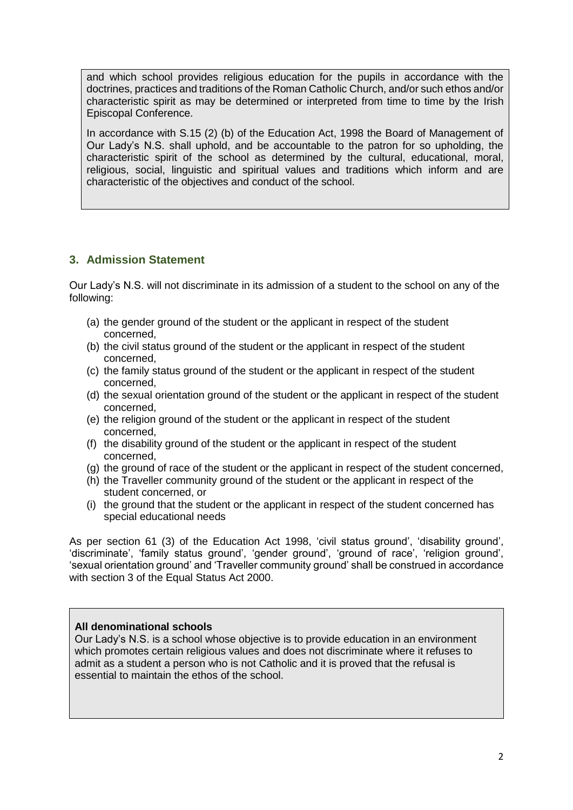and which school provides religious education for the pupils in accordance with the doctrines, practices and traditions of the Roman Catholic Church, and/or such ethos and/or characteristic spirit as may be determined or interpreted from time to time by the Irish Episcopal Conference.

In accordance with S.15 (2) (b) of the Education Act, 1998 the Board of Management of Our Lady's N.S. shall uphold, and be accountable to the patron for so upholding, the characteristic spirit of the school as determined by the cultural, educational, moral, religious, social, linguistic and spiritual values and traditions which inform and are characteristic of the objectives and conduct of the school.

# **3. Admission Statement**

Our Lady's N.S. will not discriminate in its admission of a student to the school on any of the following:

- (a) the gender ground of the student or the applicant in respect of the student concerned,
- (b) the civil status ground of the student or the applicant in respect of the student concerned,
- (c) the family status ground of the student or the applicant in respect of the student concerned,
- (d) the sexual orientation ground of the student or the applicant in respect of the student concerned,
- (e) the religion ground of the student or the applicant in respect of the student concerned,
- (f) the disability ground of the student or the applicant in respect of the student concerned,
- (g) the ground of race of the student or the applicant in respect of the student concerned,
- (h) the Traveller community ground of the student or the applicant in respect of the student concerned, or
- (i) the ground that the student or the applicant in respect of the student concerned has special educational needs

As per section 61 (3) of the Education Act 1998, 'civil status ground', 'disability ground', 'discriminate', 'family status ground', 'gender ground', 'ground of race', 'religion ground', 'sexual orientation ground' and 'Traveller community ground' shall be construed in accordance with section 3 of the Equal Status Act 2000.

#### **All denominational schools**

Our Lady's N.S. is a school whose objective is to provide education in an environment which promotes certain religious values and does not discriminate where it refuses to admit as a student a person who is not Catholic and it is proved that the refusal is essential to maintain the ethos of the school.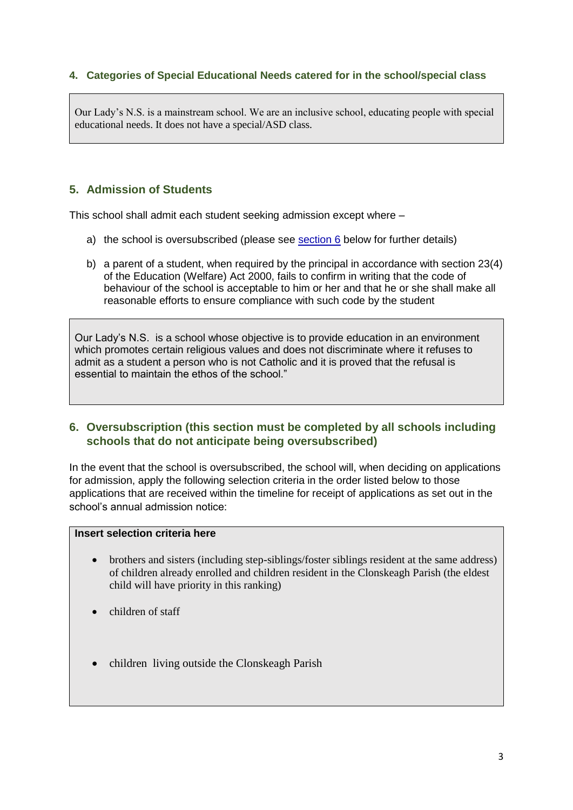## **4. Categories of Special Educational Needs catered for in the school/special class**

Our Lady's N.S. is a mainstream school. We are an inclusive school, educating people with special educational needs. It does not have a special/ASD class.

## **5. Admission of Students**

This school shall admit each student seeking admission except where –

- a) the school is oversubscribed (please see [section 6](#page-2-0) below for further details)
- b) a parent of a student, when required by the principal in accordance with section 23(4) of the Education (Welfare) Act 2000, fails to confirm in writing that the code of behaviour of the school is acceptable to him or her and that he or she shall make all reasonable efforts to ensure compliance with such code by the student

Our Lady's N.S. is a school whose objective is to provide education in an environment which promotes certain religious values and does not discriminate where it refuses to admit as a student a person who is not Catholic and it is proved that the refusal is essential to maintain the ethos of the school."

## <span id="page-2-0"></span>**6. Oversubscription (this section must be completed by all schools including schools that do not anticipate being oversubscribed)**

In the event that the school is oversubscribed, the school will, when deciding on applications for admission, apply the following selection criteria in the order listed below to those applications that are received within the timeline for receipt of applications as set out in the school's annual admission notice:

## **Insert selection criteria here**

- brothers and sisters (including step-siblings/foster siblings resident at the same address) of children already enrolled and children resident in the Clonskeagh Parish (the eldest child will have priority in this ranking)
- children of staff
- children living outside the Clonskeagh Parish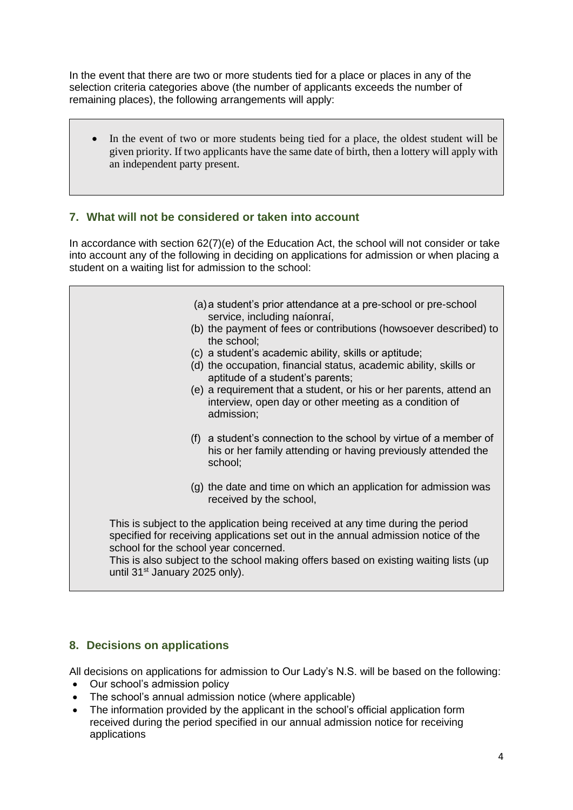In the event that there are two or more students tied for a place or places in any of the selection criteria categories above (the number of applicants exceeds the number of remaining places), the following arrangements will apply:

• In the event of two or more students being tied for a place, the oldest student will be given priority. If two applicants have the same date of birth, then a lottery will apply with an independent party present.

# **7. What will not be considered or taken into account**

In accordance with section 62(7)(e) of the Education Act, the school will not consider or take into account any of the following in deciding on applications for admission or when placing a student on a waiting list for admission to the school:

- (a)a student's prior attendance at a pre-school or pre-school service, including naíonraí,
- (b) the payment of fees or contributions (howsoever described) to the school;
- (c) a student's academic ability, skills or aptitude;
- (d) the occupation, financial status, academic ability, skills or aptitude of a student's parents;
- (e) a requirement that a student, or his or her parents, attend an interview, open day or other meeting as a condition of admission;
- (f) a student's connection to the school by virtue of a member of his or her family attending or having previously attended the school;
- (g) the date and time on which an application for admission was received by the school,

This is subject to the application being received at any time during the period specified for receiving applications set out in the annual admission notice of the school for the school year concerned.

This is also subject to the school making offers based on existing waiting lists (up until 31<sup>st</sup> January 2025 only).

## **8. Decisions on applications**

All decisions on applications for admission to Our Lady's N.S. will be based on the following:

- Our school's admission policy
- The school's annual admission notice (where applicable)
- The information provided by the applicant in the school's official application form received during the period specified in our annual admission notice for receiving applications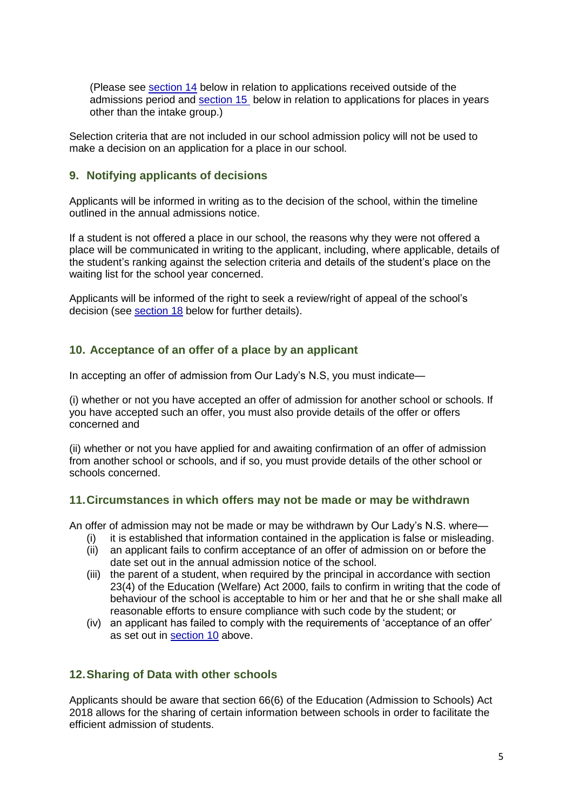(Please see [section 14](#page-5-0) below in relation to applications received outside of the admissions period and [section 15](#page-6-0) below in relation to applications for places in years other than the intake group.)

Selection criteria that are not included in our school admission policy will not be used to make a decision on an application for a place in our school.

## **9. Notifying applicants of decisions**

Applicants will be informed in writing as to the decision of the school, within the timeline outlined in the annual admissions notice.

If a student is not offered a place in our school, the reasons why they were not offered a place will be communicated in writing to the applicant, including, where applicable, details of the student's ranking against the selection criteria and details of the student's place on the waiting list for the school year concerned.

Applicants will be informed of the right to seek a review/right of appeal of the school's decision (see [section 18](#page-6-1) below for further details).

#### <span id="page-4-0"></span>**10. Acceptance of an offer of a place by an applicant**

In accepting an offer of admission from Our Lady's N.S, you must indicate—

(i) whether or not you have accepted an offer of admission for another school or schools. If you have accepted such an offer, you must also provide details of the offer or offers concerned and

(ii) whether or not you have applied for and awaiting confirmation of an offer of admission from another school or schools, and if so, you must provide details of the other school or schools concerned.

#### **11.Circumstances in which offers may not be made or may be withdrawn**

An offer of admission may not be made or may be withdrawn by Our Lady's N.S. where—

- (i) it is established that information contained in the application is false or misleading.
- (ii) an applicant fails to confirm acceptance of an offer of admission on or before the date set out in the annual admission notice of the school.
- (iii) the parent of a student, when required by the principal in accordance with section 23(4) of the Education (Welfare) Act 2000, fails to confirm in writing that the code of behaviour of the school is acceptable to him or her and that he or she shall make all reasonable efforts to ensure compliance with such code by the student; or
- (iv) an applicant has failed to comply with the requirements of 'acceptance of an offer' as set out in [section 10](#page-4-0) above.

## **12.Sharing of Data with other schools**

Applicants should be aware that section 66(6) of the Education (Admission to Schools) Act 2018 allows for the sharing of certain information between schools in order to facilitate the efficient admission of students.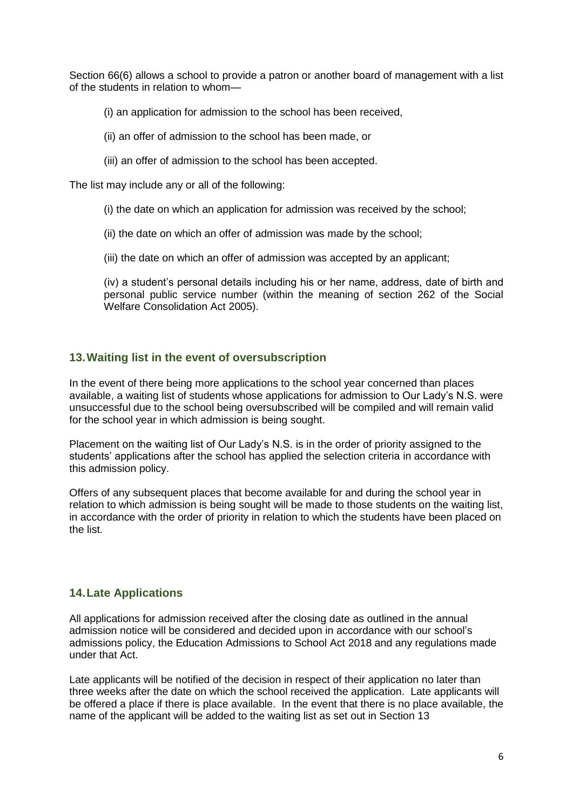Section 66(6) allows a school to provide a patron or another board of management with a list of the students in relation to whom—

(i) an application for admission to the school has been received,

- (ii) an offer of admission to the school has been made, or
- (iii) an offer of admission to the school has been accepted.

The list may include any or all of the following:

- (i) the date on which an application for admission was received by the school;
- (ii) the date on which an offer of admission was made by the school;
- (iii) the date on which an offer of admission was accepted by an applicant;

(iv) a student's personal details including his or her name, address, date of birth and personal public service number (within the meaning of section 262 of the Social Welfare Consolidation Act 2005).

## **13.Waiting list in the event of oversubscription**

In the event of there being more applications to the school year concerned than places available, a waiting list of students whose applications for admission to Our Lady's N.S. were unsuccessful due to the school being oversubscribed will be compiled and will remain valid for the school year in which admission is being sought.

Placement on the waiting list of Our Lady's N.S. is in the order of priority assigned to the students' applications after the school has applied the selection criteria in accordance with this admission policy.

Offers of any subsequent places that become available for and during the school year in relation to which admission is being sought will be made to those students on the waiting list, in accordance with the order of priority in relation to which the students have been placed on the list.

## <span id="page-5-0"></span>**14.Late Applications**

All applications for admission received after the closing date as outlined in the annual admission notice will be considered and decided upon in accordance with our school's admissions policy, the Education Admissions to School Act 2018 and any regulations made under that Act.

Late applicants will be notified of the decision in respect of their application no later than three weeks after the date on which the school received the application. Late applicants will be offered a place if there is place available. In the event that there is no place available, the name of the applicant will be added to the waiting list as set out in Section 13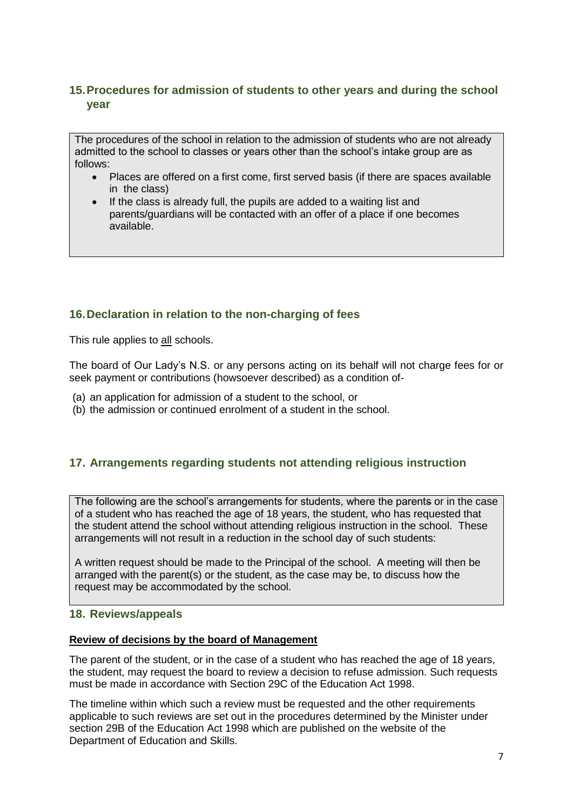# <span id="page-6-0"></span>**15.Procedures for admission of students to other years and during the school year**

The procedures of the school in relation to the admission of students who are not already admitted to the school to classes or years other than the school's intake group are as follows:

- Places are offered on a first come, first served basis (if there are spaces available in the class)
- If the class is already full, the pupils are added to a waiting list and parents/guardians will be contacted with an offer of a place if one becomes available.

# **16.Declaration in relation to the non-charging of fees**

This rule applies to all schools.

The board of Our Lady's N.S. or any persons acting on its behalf will not charge fees for or seek payment or contributions (howsoever described) as a condition of-

- (a) an application for admission of a student to the school, or
- (b) the admission or continued enrolment of a student in the school.

## **17. Arrangements regarding students not attending religious instruction**

The following are the school's arrangements for students, where the parents or in the case of a student who has reached the age of 18 years, the student, who has requested that the student attend the school without attending religious instruction in the school. These arrangements will not result in a reduction in the school day of such students:

A written request should be made to the Principal of the school. A meeting will then be arranged with the parent(s) or the student, as the case may be, to discuss how the request may be accommodated by the school.

#### <span id="page-6-1"></span>**18. Reviews/appeals**

#### **Review of decisions by the board of Management**

The parent of the student, or in the case of a student who has reached the age of 18 years, the student, may request the board to review a decision to refuse admission. Such requests must be made in accordance with Section 29C of the Education Act 1998.

The timeline within which such a review must be requested and the other requirements applicable to such reviews are set out in the procedures determined by the Minister under section 29B of the Education Act 1998 which are published on the website of the Department of Education and Skills.